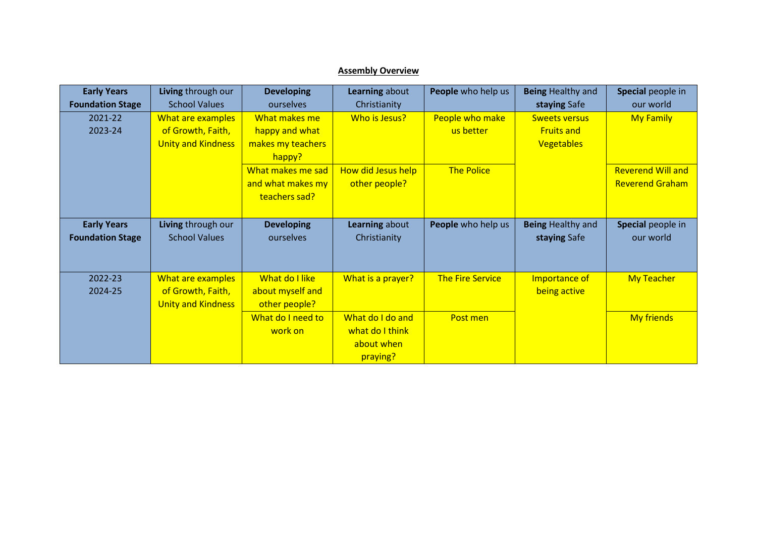## **Assembly Overview**

| <b>Early Years</b>      | Living through our        | <b>Developing</b> | Learning about            | People who help us      | <b>Being Healthy and</b> | Special people in        |
|-------------------------|---------------------------|-------------------|---------------------------|-------------------------|--------------------------|--------------------------|
| <b>Foundation Stage</b> | <b>School Values</b>      | ourselves         | Christianity              |                         | staying Safe             | our world                |
| 2021-22                 | What are examples         | What makes me     | Who is Jesus?             | People who make         | <b>Sweets versus</b>     | <b>My Family</b>         |
| 2023-24                 | of Growth, Faith,         | happy and what    |                           | us better               | <b>Fruits and</b>        |                          |
|                         | <b>Unity and Kindness</b> | makes my teachers |                           |                         | <b>Vegetables</b>        |                          |
|                         |                           | happy?            |                           |                         |                          |                          |
|                         |                           | What makes me sad | <b>How did Jesus help</b> | <b>The Police</b>       |                          | <b>Reverend Will and</b> |
|                         |                           | and what makes my | other people?             |                         |                          | <b>Reverend Graham</b>   |
|                         |                           | teachers sad?     |                           |                         |                          |                          |
|                         |                           |                   |                           |                         |                          |                          |
| <b>Early Years</b>      | Living through our        | <b>Developing</b> | Learning about            | People who help us      | <b>Being Healthy and</b> | Special people in        |
| <b>Foundation Stage</b> | <b>School Values</b>      | ourselves         | Christianity              |                         | staying Safe             | our world                |
|                         |                           |                   |                           |                         |                          |                          |
|                         |                           |                   |                           |                         |                          |                          |
| 2022-23                 | What are examples         | What do I like    | What is a prayer?         | <b>The Fire Service</b> | Importance of            | <b>My Teacher</b>        |
| 2024-25                 | of Growth, Faith,         | about myself and  |                           |                         | being active             |                          |
|                         | <b>Unity and Kindness</b> | other people?     |                           |                         |                          |                          |
|                         |                           | What do I need to | What do I do and          | Post men                |                          | <b>My friends</b>        |
|                         |                           | work on           | what do I think           |                         |                          |                          |
|                         |                           |                   | about when                |                         |                          |                          |
|                         |                           |                   | praying?                  |                         |                          |                          |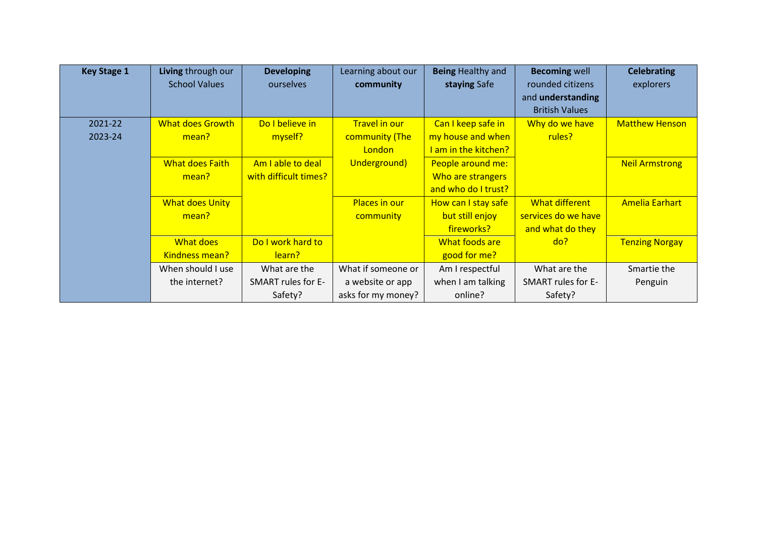| <b>Key Stage 1</b> | Living through our      | <b>Developing</b>     | Learning about our | <b>Being Healthy and</b> | <b>Becoming well</b>  | <b>Celebrating</b>    |
|--------------------|-------------------------|-----------------------|--------------------|--------------------------|-----------------------|-----------------------|
|                    | <b>School Values</b>    | ourselves             | community          | staying Safe             | rounded citizens      | explorers             |
|                    |                         |                       |                    |                          | and understanding     |                       |
|                    |                         |                       |                    |                          | <b>British Values</b> |                       |
| 2021-22            | <b>What does Growth</b> | Do I believe in       | Travel in our      | Can I keep safe in       | Why do we have        | <b>Matthew Henson</b> |
| 2023-24            | mean?                   | myself?               | community (The     | my house and when        | rules?                |                       |
|                    |                         |                       | London             | I am in the kitchen?     |                       |                       |
|                    | <b>What does Faith</b>  | Am I able to deal     | Underground)       | People around me:        |                       | <b>Neil Armstrong</b> |
|                    | mean?                   | with difficult times? |                    | Who are strangers        |                       |                       |
|                    |                         |                       |                    | and who do I trust?      |                       |                       |
|                    | <b>What does Unity</b>  |                       | Places in our      | How can I stay safe      | What different        | <b>Amelia Earhart</b> |
|                    | mean?                   |                       | community          | but still enjoy          | services do we have   |                       |
|                    |                         |                       |                    | fireworks?               | and what do they      |                       |
|                    | What does               | Do I work hard to     |                    | What foods are           | do?                   | <b>Tenzing Norgay</b> |
|                    | Kindness mean?          | learn?                |                    | good for me?             |                       |                       |
|                    | When should I use       | What are the          | What if someone or | Am I respectful          | What are the          | Smartie the           |
|                    | the internet?           | SMART rules for E-    | a website or app   | when I am talking        | SMART rules for E-    | Penguin               |
|                    |                         | Safety?               | asks for my money? | online?                  | Safety?               |                       |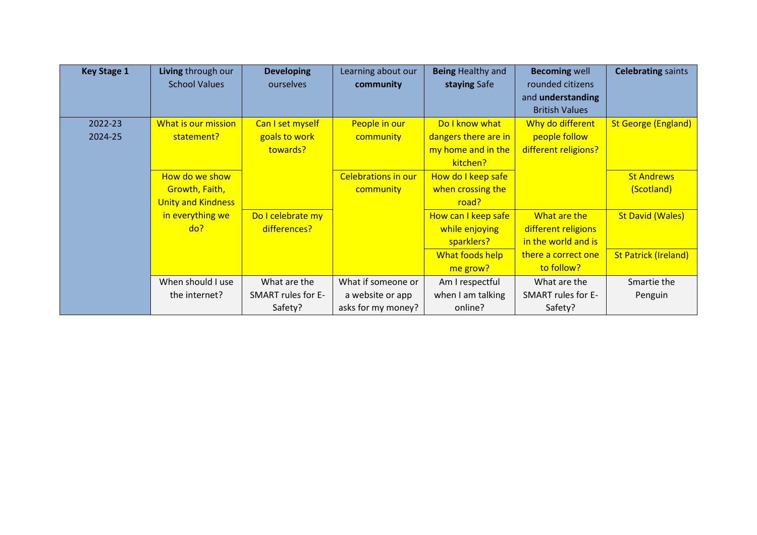| <b>Key Stage 1</b> | Living through our        | <b>Developing</b>  | Learning about our         | <b>Being Healthy and</b> | <b>Becoming well</b>  | <b>Celebrating saints</b>   |
|--------------------|---------------------------|--------------------|----------------------------|--------------------------|-----------------------|-----------------------------|
|                    | <b>School Values</b>      | ourselves          | community                  | staying Safe             | rounded citizens      |                             |
|                    |                           |                    |                            |                          | and understanding     |                             |
|                    |                           |                    |                            |                          | <b>British Values</b> |                             |
| 2022-23            | What is our mission       | Can I set myself   | People in our              | Do I know what           | Why do different      | <b>St George (England)</b>  |
| 2024-25            | statement?                | goals to work      | community                  | dangers there are in     | people follow         |                             |
|                    |                           | towards?           |                            | my home and in the       | different religions?  |                             |
|                    |                           |                    |                            | kitchen?                 |                       |                             |
|                    | How do we show            |                    | <b>Celebrations in our</b> | How do I keep safe       |                       | <b>St Andrews</b>           |
|                    | Growth, Faith,            |                    | community                  | when crossing the        |                       | (Scotland)                  |
|                    | <b>Unity and Kindness</b> |                    |                            | road?                    |                       |                             |
|                    | in everything we          | Do I celebrate my  |                            | How can I keep safe      | What are the          | <b>St David (Wales)</b>     |
|                    | do?                       | differences?       |                            | while enjoying           | different religions   |                             |
|                    |                           |                    |                            | sparklers?               | in the world and is   |                             |
|                    |                           |                    |                            | What foods help          | there a correct one   | <b>St Patrick (Ireland)</b> |
|                    |                           |                    |                            | me grow?                 | to follow?            |                             |
|                    | When should I use         | What are the       | What if someone or         | Am I respectful          | What are the          | Smartie the                 |
|                    | the internet?             | SMART rules for E- | a website or app           | when I am talking        | SMART rules for E-    | Penguin                     |
|                    |                           | Safety?            | asks for my money?         | online?                  | Safety?               |                             |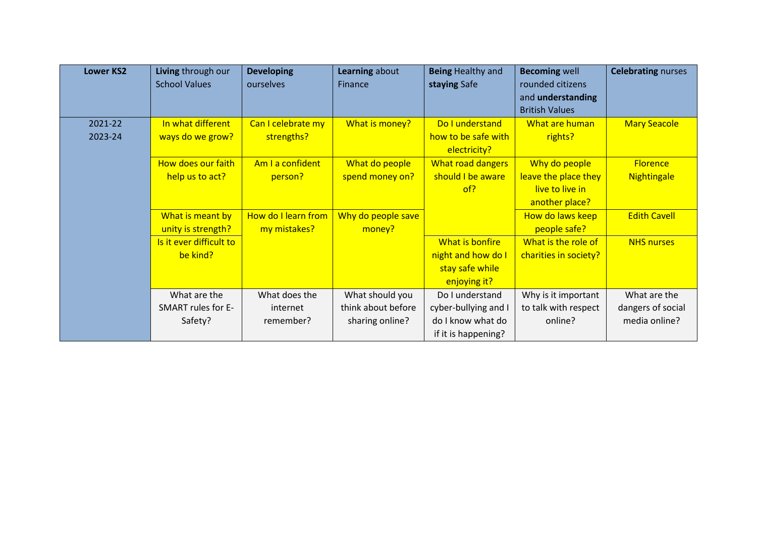| <b>Lower KS2</b> | Living through our        | <b>Developing</b>   | Learning about     | <b>Being Healthy and</b> | <b>Becoming well</b>  | <b>Celebrating nurses</b> |
|------------------|---------------------------|---------------------|--------------------|--------------------------|-----------------------|---------------------------|
|                  | <b>School Values</b>      | ourselves           | <b>Finance</b>     | staying Safe             | rounded citizens      |                           |
|                  |                           |                     |                    |                          | and understanding     |                           |
|                  |                           |                     |                    |                          | <b>British Values</b> |                           |
| 2021-22          | In what different         | Can I celebrate my  | What is money?     | Do I understand          | What are human        | <b>Mary Seacole</b>       |
| 2023-24          | ways do we grow?          | strengths?          |                    | how to be safe with      | rights?               |                           |
|                  |                           |                     |                    | electricity?             |                       |                           |
|                  | How does our faith        | Am I a confident    | What do people     | What road dangers        | Why do people         | <b>Florence</b>           |
|                  | help us to act?           | person?             | spend money on?    | should I be aware        | leave the place they  | Nightingale               |
|                  |                           |                     |                    | of?                      | live to live in       |                           |
|                  |                           |                     |                    |                          | another place?        |                           |
|                  | What is meant by          | How do I learn from | Why do people save |                          | How do laws keep      | <b>Edith Cavell</b>       |
|                  | unity is strength?        | my mistakes?        | money?             |                          | people safe?          |                           |
|                  | Is it ever difficult to   |                     |                    | What is bonfire          | What is the role of   | <b>NHS nurses</b>         |
|                  | be kind?                  |                     |                    | night and how do I       | charities in society? |                           |
|                  |                           |                     |                    | stay safe while          |                       |                           |
|                  |                           |                     |                    | enjoying it?             |                       |                           |
|                  | What are the              | What does the       | What should you    | Do I understand          | Why is it important   | What are the              |
|                  | <b>SMART rules for E-</b> | internet            | think about before | cyber-bullying and I     | to talk with respect  | dangers of social         |
|                  | Safety?                   | remember?           | sharing online?    | do I know what do        | online?               | media online?             |
|                  |                           |                     |                    | if it is happening?      |                       |                           |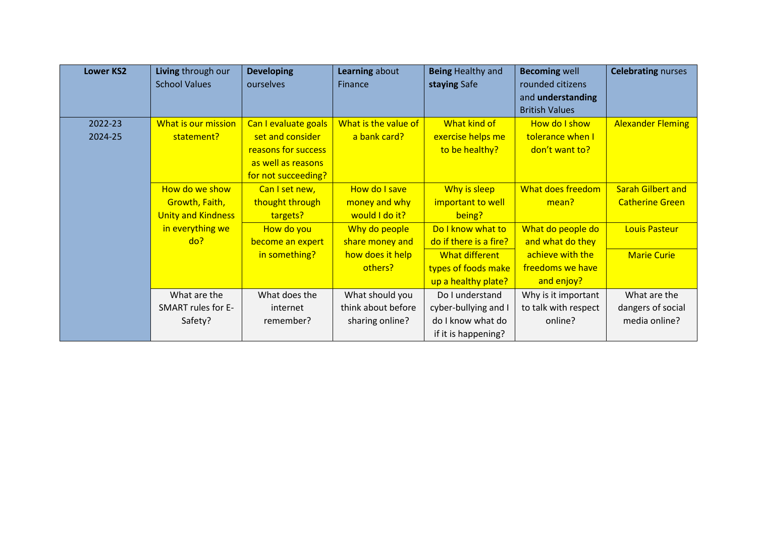| <b>Lower KS2</b> | Living through our        | <b>Developing</b>    | Learning about       | <b>Being Healthy and</b> | <b>Becoming well</b>  | <b>Celebrating nurses</b> |
|------------------|---------------------------|----------------------|----------------------|--------------------------|-----------------------|---------------------------|
|                  | <b>School Values</b>      | ourselves            | Finance              | staying Safe             | rounded citizens      |                           |
|                  |                           |                      |                      |                          | and understanding     |                           |
|                  |                           |                      |                      |                          | <b>British Values</b> |                           |
| 2022-23          | What is our mission       | Can I evaluate goals | What is the value of | What kind of             | How do I show         | <b>Alexander Fleming</b>  |
| 2024-25          | statement?                | set and consider     | a bank card?         | exercise helps me        | tolerance when I      |                           |
|                  |                           | reasons for success  |                      | to be healthy?           | don't want to?        |                           |
|                  |                           | as well as reasons   |                      |                          |                       |                           |
|                  |                           | for not succeeding?  |                      |                          |                       |                           |
|                  | How do we show            | Can I set new,       | How do I save        | Why is sleep             | What does freedom     | <b>Sarah Gilbert and</b>  |
|                  | Growth, Faith,            | thought through      | money and why        | important to well        | mean?                 | <b>Catherine Green</b>    |
|                  | <b>Unity and Kindness</b> | targets?             | would I do it?       | being?                   |                       |                           |
|                  | in everything we          | How do you           | Why do people        | Do I know what to        | What do people do     | <b>Louis Pasteur</b>      |
|                  | do?                       | become an expert     | share money and      | do if there is a fire?   | and what do they      |                           |
|                  |                           | in something?        | how does it help     | What different           | achieve with the      | <b>Marie Curie</b>        |
|                  |                           |                      | others?              | types of foods make      | freedoms we have      |                           |
|                  |                           |                      |                      | up a healthy plate?      | and enjoy?            |                           |
|                  | What are the              | What does the        | What should you      | Do I understand          | Why is it important   | What are the              |
|                  | SMART rules for E-        | internet             | think about before   | cyber-bullying and I     | to talk with respect  | dangers of social         |
|                  | Safety?                   | remember?            | sharing online?      | do I know what do        | online?               | media online?             |
|                  |                           |                      |                      | if it is happening?      |                       |                           |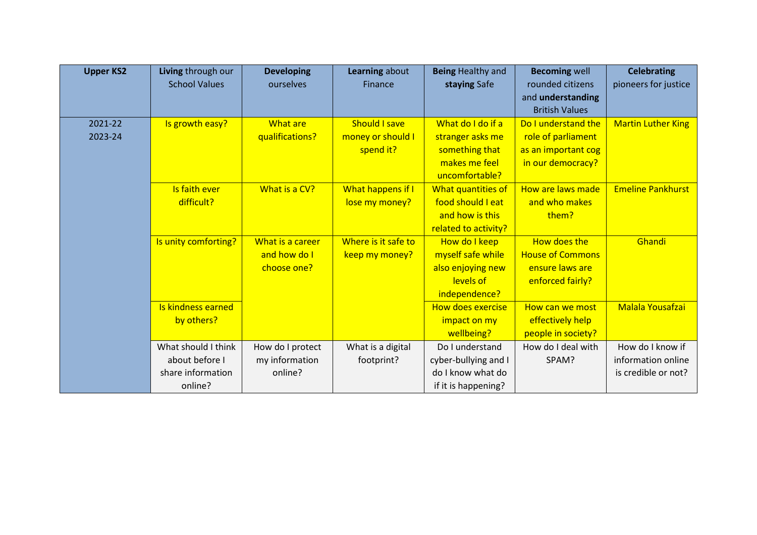| <b>Upper KS2</b> | Living through our   | <b>Developing</b> | Learning about           | <b>Being Healthy and</b> | <b>Becoming well</b>    | <b>Celebrating</b>        |
|------------------|----------------------|-------------------|--------------------------|--------------------------|-------------------------|---------------------------|
|                  | <b>School Values</b> | ourselves         | <b>Finance</b>           | staying Safe             | rounded citizens        | pioneers for justice      |
|                  |                      |                   |                          |                          | and understanding       |                           |
|                  |                      |                   |                          |                          | <b>British Values</b>   |                           |
| 2021-22          | Is growth easy?      | What are          | <b>Should I save</b>     | What do I do if a        | Do I understand the     | <b>Martin Luther King</b> |
| 2023-24          |                      | qualifications?   | money or should I        | stranger asks me         | role of parliament      |                           |
|                  |                      |                   | spend it?                | something that           | as an important cog     |                           |
|                  |                      |                   |                          | makes me feel            | in our democracy?       |                           |
|                  |                      |                   |                          | uncomfortable?           |                         |                           |
|                  | Is faith ever        | What is a CV?     | <b>What happens if I</b> | What quantities of       | How are laws made       | <b>Emeline Pankhurst</b>  |
|                  | difficult?           |                   | lose my money?           | food should I eat        | and who makes           |                           |
|                  |                      |                   |                          | and how is this          | them?                   |                           |
|                  |                      |                   |                          | related to activity?     |                         |                           |
|                  | Is unity comforting? | What is a career  | Where is it safe to      | How do I keep            | How does the            | Ghandi                    |
|                  |                      | and how do I      | keep my money?           | myself safe while        | <b>House of Commons</b> |                           |
|                  |                      | choose one?       |                          | also enjoying new        | ensure laws are         |                           |
|                  |                      |                   |                          | levels of                | enforced fairly?        |                           |
|                  |                      |                   |                          | independence?            |                         |                           |
|                  | Is kindness earned   |                   |                          | <b>How does exercise</b> | How can we most         | <b>Malala Yousafzai</b>   |
|                  | by others?           |                   |                          | impact on my             | effectively help        |                           |
|                  |                      |                   |                          | wellbeing?               | people in society?      |                           |
|                  | What should I think  | How do I protect  | What is a digital        | Do I understand          | How do I deal with      | How do I know if          |
|                  | about before I       | my information    | footprint?               | cyber-bullying and I     | SPAM?                   | information online        |
|                  | share information    | online?           |                          | do I know what do        |                         | is credible or not?       |
|                  | online?              |                   |                          | if it is happening?      |                         |                           |